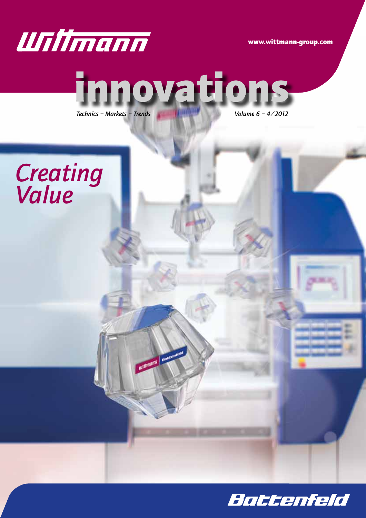

www.wittmann-group.com



**unimann** per

*Technics – Markets – Trends Volume 6 – 4/2012*



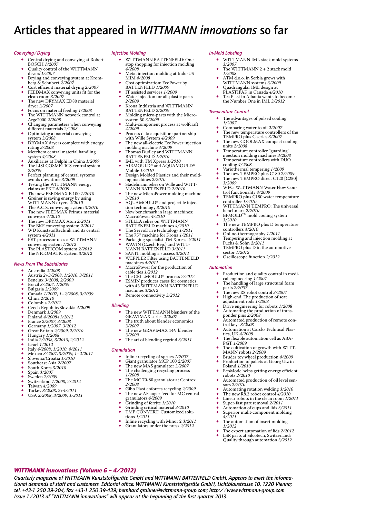### Articles that appeared in *WITTMANN innovations* so far

#### *Conveying/Drying*

- Central drying and conveying at Robert BOSCH 1/2007
- Quality control of the WITTMANN<br>dryers  $1/2007$
- 
- drying and conveying system at Krom-<br>berg & Schubert *2/2007*<br>Cost efficient material drying *2/2007*<br>FEEDMAX conveying units fit for the<br>clean room 3/2007
- The new DRYMAX ED80 material<br>dryer 3/2007
- 
- Focus on material feeding *1/2008*<br>The WITTMANN network control at<br>Arge2000 2/2008
- *Changing parameters when conveying*<br>different materials 2/2008
- Optimizing a material conveying system  $3/2008$
- DRYMAX dryers complete with energy<br>rating  $3/2008$
- rating *3/2008* • Metchem central material handling
- system 4/2008<br>
Auxiliaries at Delphi in China *1/2009*<br>
The LISI COSMETICS central system<br>
2/2009
- Perfect planning of central systems<br>avoids downtime  $3/2009$
- avoids downtime *3/2009*<br>Testing the WITTMANN energy<br>claims at FKT 4/2009
- claims at FKT 4/2009<br>
 The new FEEDMAX B 100 *1/2010*<br>
 Greiner is saving energy by using<br>
<u>WITTN</u>
- WITTMANN dryers *2/2010*<br>
 The A.C.S. conveying system 3/2010<br>
 The new FEEDMAX Primus material
- conveyor *4/2010* Europer 1/2010<br>The new DRYMAX Aton 2/2011
- The BKF conveying system 2/2011<br>
 WD Kunststofftechnik and its central
- system *4/2011* • PET processor uses a WITTMANN
- 
- conveying system *1/2012* • The PLASTICOM system *2/2012*
- The NICOMATIC system  $3/2012$

#### *News From The Subsidiaries*

- • Australia *2/2008*
- • Austria *2+3/2008*, *1/2010*, *3/2011*
- • Benelux *3/2008*, *2/2009*
- • Brazil *3/2007*, *1/2009*
- • Bulgaria *2/2009* • Canada *1/2007*, *1+2/2008*, *3/2009*
- • China *2/2010*
- • Colombia *2/2012*
- • Czech Republic/Slovakia *4/2009*
- • Denmark *1/2009* • Finland *4/2008+1/2012*
- 
- France 2/2007, 3/2008<br>• France 2/2007, 3/2008<br>• Germany 1/2007, 3/20
- • Germany *1/2007*, *3/2012* • Great Britain *2/2009*, *2/2010*
- 
- • Hungary *1/2008* • India *2/2008*, *3/2010*, *2/2012*
- • Israel *1/2012*
- • Italy *4/2008*, *1/2010*, *4/2011* • Mexico *3/2007*, *3/2009*, *1+2/2011*
- 
- • Slovenia/Croatia *1/2010* • Southeast Asia *2/2007*
- 
- 
- 
- 
- South Kores 3/2010<br>
 Spain 3/2007<br>
 Spain 3/2007<br>
 Switzerland 1/2008, 2/2012<br>
 Taiwan 4/2009<br>
 Turkey 3/2008, 2+4/2011<br>
 USA 2/2008, 3/2009, 1/2011
- 
- 

*WITTMANN innovations (Volume 6 – 4/2012)*

#### *Injection Molding*

- WITTMANN BATTENFELD: One stop shopping for injection molding  $4/2008$ 
	- Metal injection molding at Indo-US  $\rm MIM$   $4/2008$
	- Cost optimization: EcoPower by BATTENFELD  $1/2009\,$
	-
	- BATT TRESSERIED **1/2009**<br> **1/2009** Water injection for all-plastic parts<br>
	2/2009
	- *2/2009*<br>*2/2009*<br>*2/2009*
- 
- Molding micro-parts with the Microsystem 50 3/2009<br>Multi-component process at wolfcraft<br>4/2009
- Process data acquisition: partnership<br>with Wille System 4/2009
- The new all-electric EcoPower injection
- molding machine 4/2009<br>• Thomas Dudley and WITTMANN<br>BATTEMEN DAL2010
- 
- 
- BATTENFELD *1/2010*<br>
 IML with TM Xpress *1/2010*<br>
 AIRMOULD® and AQUAMOULD®<br>
 Mobile *1/2010*<br>
 Design Molded Plastics and their mold-<br>
ing machines *2/2010*<br>
 Stadelmann relies on Wille and WITT-<br>
 Calculmann relie
- mg machines 2/2010<br>Stadelmann relies on Wille and WITT-<br>MANN BATTENFELD 2/2010<br>The new MicroPower molding machine<br>3/2010
- 
- *3/2010* • AQUAMOULD® and projectile injec-tion technology *3/2010*
- New benchmark in large machines:
- MacroPower 4/2010<br>
 STELLA relies on WITTMANN<br> **PATTEMENT** D
- BATTENFELD machines *4/2010*
- 
- The ServoDrive technology *1/2011*<br>• The 75<sup>th</sup> machine for Krona *1/2011*
- • Packaging specialist TM Xpress *2/2011* • WAVIN (Czech Rep.) and WITT-MANN BATTENFELD *3/2011*
- 
- SANIT molding a success  $3/2011$
- WEPPLER Filter using BATTENFELD machines *4/2011*
- MacroPower for the production of
- cable ties *1/2012* • The CELLMOULD® process *2/2012*
- • ESMIN produces cases for cosmetics with 43 WITTMANN BATTENFELD machines *3/2012*
- Remote connectivity 3/2012

#### *Blending*

- The new WITTMANN blenders of the
- 
- GRAVIMAX series 2/2007<br>• The truth about blender economics
- 3/2007<br>The new GRAVIMAX 14V blender<br>3/2009
- *3/2009* • The art of blending regrind *3/2011*

#### *Granulation*

*Issue 1/2013 of "WITTMANN innovations" will appear at the beginning of the first quarter 2013.*

- 
- • Inline recycling of sprues *1/2007* • Giant granulator MCP <sup>100</sup> *2/2007*
- • The new MAS granulator *3/2007* • The challenging recycling process
- 
- The MC 70-80 granulator at Centrex<br>2/2008
- Gibo Plast enforces recycling *2/2009*<br>The new AF auger feed for MC central<br>granulators 4/2009<br>Grinding of ferrite 1/2010
- granulators *4/2009*<br>
 Grinding of ferrite *1/2010*<br>
 Grinding critical material *3/2010*<br>
 TMP CONVERT: Customized solu-
- 
- 
- tions *1/2011* Inline recycling with Minor 2 3/2011
- Granulators under the press  $2/2012$

*Quarterly magazine of WITTMANN Kunststoffgeräte GmbH and WITTMANN BATTENFELD GmbH. Appears to meet the informational demands of staff and customers. Editorial office: WITTMANN Kunststoffgeräte GmbH, Lichtblaustrasse 10, 1220 Vienna; tel. +43-1 250 39-204, fax +43-1 250 39-439; bernhard.grabner@wittmann-group.com; http://www.wittmann-group.com*

#### *In-Mold Labeling* • WITTMANN IML stack mold systems  $3/2007$

*Temperature Control*

The WITTMANN 2 + 2 stack mold  $1/2008$ ATM d.o.o. in Serbia grows with<br>WITTMANN systems 3/2009 Quadrangular IML design at<br>**PLASTIPAK** in Canada 4/2010 **PLASTIPATE CANADA 1982** • Tea Plast in Albania wants to become the Number One in IML *3/2012*

The advantages of pulsed cooling  $1/2007\,$ *1/2007*<br>
• Comparing water to oil 2/2007<br>
• The new temperature controllers of the<br>
The new temperature control 2007 TEMPRO plus C series 3/2007<br>
• The new COOLMAX compact cooling<br>
write 2/2008 units 2/2008<br>Temperature controller "guarding"<br>injection molding machines 3/2008

injection model<br>Temperature controllers with DUO<br>cooling 4/2008<br>Variothermal tempering 1/2009

The new TEMPRO plus C180 *2/2009*<br>The new TEMPRO plus C180 *2/2009*<br> $\frac{1}{3}$ */2009* 

*3/2009* • WFC: WITTMANN Water Flow Con-trol functionality *4/2009* • TEMPRO plus C180 water temperature

controller *1/2010*<br>• WITTMANN TEMPRO: The universal waa awaa ya Liwr KO: The uni<br>benchmark 2/2010<br>BFMOLD™ mold cooling system<br>3/2010

The new TEMPRO plus D temperature<br>controllers  $4/2010$ controllers *4/2010*<br>Online-thermography *1/2011*<br>Tempering and injection molding at Fuchs & Sohn 2/2011<br>Fuchs & Sohn 2/2011<br>TEMPRO plus D in the automotive<br>sector 1/2012 Oscilloscope function  $2/2012$ 

*Automation*

• Production and quality control in medi-<br>cal engineering *1/2007*<br>• The handling of large structural foam

adjustment rods *1/2008*<br>adjustment rods *1/2008*<br>Drive engineering for robots *1/2008*<br>Automating the production of trans-<br>ponder pins *2/2008* 

ponder production of remote control keys *3/2008*<br>
• Automation at Carclo Technical Plas-<br>
• The flexible automation cell as ABA-<br> **PGT 1/2009** 

PGT *1/2009*<br>• The cultivation of growth with WITT-<br>MANN robots *2/2009* 

**• Bruder toy wheel production 4/2009**<br>• Production of pallets at Georg Utz in Poland 1/2010 Poland *1/2010*<br>• EcoMode helps getting energy efficient<br>robots 2/2010 Automated production of oil level sen-

• Automating rotation welding 3/2010<br>
• The new R8.2 robot control 4/2010 • Linear robots in the clean room *1/2011*<br>• Super-fast part removal *2/2011*<br>• Automation of cups and lids *3/2011* • Superior mulit-component molding *4/2011* The automation of insert molding

The expert automation of lids  $2/2012$ **EXPLACEMENT OF HAS 27201**<br>LSR parts at Silcotech, Switzerland: Quality through automation *3/2012*

sors *2/2010*

*1/2012*

**•** The new R8 robot control 3/2007<br>• High-end: The production of seat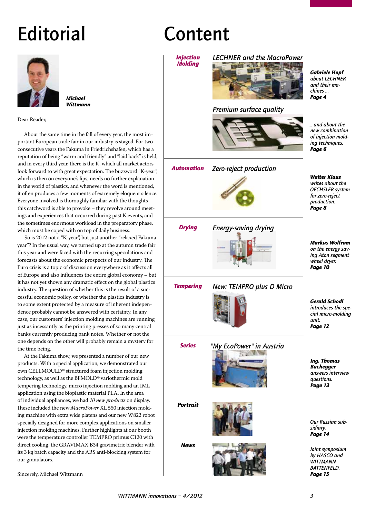# **Editorial**



*Michael Wittmann*

Dear Reader,

About the same time in the fall of every year, the most important European trade fair in our industry is staged. For two consecutive years the Fakuma in Friedrichshafen, which has a reputation of being "warm and friendly" and "laid back" is held, and in every third year, there is the K, which all market actors look forward to with great expectation. The buzzword "K-year", which is then on everyone's lips, needs no further explanation in the world of plastics, and whenever the word is mentioned, it often produces a few moments of extremely eloquent silence. Everyone involved is thoroughly familiar with the thoughts this catchword is able to provoke – they revolve around meetings and experiences that occurred during past K events, and the sometimes enormous workload in the preparatory phase, which must be coped with on top of daily business.

So is 2012 not a "K-year", but just another "relaxed Fakuma year"? In the usual way, we turned up at the autumn trade fair this year and were faced with the recurring speculations and forecasts about the economic prospects of our industry. The Euro crisis is a topic of discussion everywhere as it affects all of Europe and also influences the entire global economy – but it has not yet shown any dramatic effect on the global plastics industry. The question of whether this is the result of a successful economic policy, or whether the plastics industry is to some extent protected by a measure of inherent independence probably cannot be answered with certainty. In any case, our customers' injection molding machines are running just as incessantly as the printing presses of so many central banks currently producing bank notes. Whether or not the one depends on the other will probably remain a mystery for the time being.

At the Fakuma show, we presented a number of our new products. With a special application, we demonstrated our own CELLMOULD*®* structured foam injection molding technology, as well as the BFMOLD*®* variothermic mold tempering technology, micro injection molding and an IML application using the bioplastic material PLA. In the area of individual appliances, we had *10 new products* on display. These included the new *MacroPower* XL 550 injection molding machine with extra wide platens and our new W822 robot specially designed for more complex applications on smaller injection molding machines. Further highlights at our booth were the temperature controller TEMPRO primus C120 with direct cooling, the GRAVIMAX B34 gravimetric blender with its 3 kg batch capacity and the ARS anti-blocking system for our granulators.

Sincerely, Michael Wittmann

### Content

*Injection Molding*

# *LECHNER and the MacroPower*



#### *Premium surface quality*



*… and about the new combination of injection molding techniques. Page 6*

*Gabriele Hopf about LECHNER and their machines … Page 4*

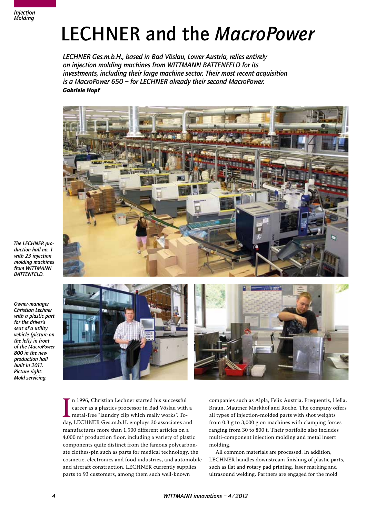

### LECHNER and the *MacroPower*

*LECHNER Ges.m.b.H., based in Bad Vöslau, Lower Austria, relies entirely on injection molding machines from WITTMANN BATTENFELD for its investments, including their large machine sector. Their most recent acquisition is a MacroPower 650 – for LECHNER already their second MacroPower. Gabriele Hopf*



*The LECHNER production hall no. 1 with 23 injection molding machines from WITTMANN BATTENFELD.*

*Owner-manager Christian Lechner with a plastic part for the driver's seat of a utility vehicle (picture on the left) in front of the MacroPower 800 in the new production hall built in 2011. Picture right: Mold servicing.*



In 1996, Christian Lechner started his successful<br>career as a plastics processor in Bad Vöslau with a<br>metal-free "laundry clip which really works". To-<br>day, LECHNER Ges.m.b.H. employs 30 associates and n 1996, Christian Lechner started his successful career as a plastics processor in Bad Vöslau with a metal-free "laundry clip which really works". Tomanufactures more than 1,500 different articles on a 4,000 m² production floor, including a variety of plastic components quite distinct from the famous polycarbonate clothes-pin such as parts for medical technology, the cosmetic, electronics and food industries, and automobile and aircraft construction. LECHNER currently supplies parts to 93 customers, among them such well-known

companies such as Alpla, Felix Austria, Frequentis, Hella, Braun, Mautner Markhof and Roche. The company offers all types of injection-molded parts with shot weights from 0.3 g to 3,000 g on machines with clamping forces ranging from 30 to 800 t. Their portfolio also includes multi-component injection molding and metal insert molding.

All common materials are processed. In addition, LECHNER handles downstream finishing of plastic parts, such as flat and rotary pad printing, laser marking and ultrasound welding. Partners are engaged for the mold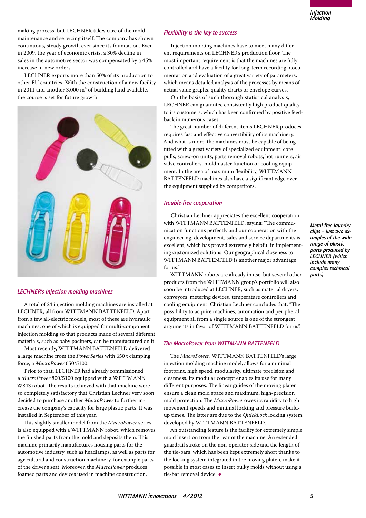making process, but LECHNER takes care of the mold maintenance and servicing itself. The company has shown continuous, steady growth ever since its foundation. Even in 2009, the year of economic crisis, a 30% decline in sales in the automotive sector was compensated by a 45% increase in new orders.

LECHNER exports more than 50% of its production to other EU countries. With the construction of a new facility in 2011 and another 3,000 m² of building land available, the course is set for future growth.



#### *LECHNER's injection molding machines*

A total of 24 injection molding machines are installed at LECHNER, all from WITTMANN BATTENFELD. Apart from a few all-electric models, most of these are hydraulic machines, one of which is equipped for multi-component injection molding so that products made of several different materials, such as baby pacifiers, can be manufactured on it.

Most recently, WITTMANN BATTENFELD delivered a large machine from the *PowerSeries* with 650 t clamping force, a *MacroPower* 650/5100.

Prior to that, LECHNER had already commissioned a *MacroPower* 800/5100 equipped with a WITTMANN W843 robot. The results achieved with that machine were so completely satisfactory that Christian Lechner very soon decided to purchase another *MacroPower* to further increase the company's capacity for large plastic parts. It was installed in September of this year.

This slightly smaller model from the *MacroPower* series is also equipped with a WITTMANN robot, which removes the finished parts from the mold and deposits them. This machine primarily manufactures housing parts for the automotive industry, such as headlamps, as well as parts for agricultural and construction machinery, for example parts of the driver's seat. Moreover, the *MacroPower* produces foamed parts and devices used in machine construction.

#### *Flexibility is the key to success*

Injection molding machines have to meet many different requirements on LECHNER's production floor. The most important requirement is that the machines are fully controlled and have a facility for long-term recording, documentation and evaluation of a great variety of parameters, which means detailed analysis of the processes by means of actual value graphs, quality charts or envelope curves.

On the basis of such thorough statistical analysis, LECHNER can guarantee consistently high product quality to its customers, which has been confirmed by positive feedback in numerous cases.

The great number of different items LECHNER produces requires fast and effective convertibility of its machinery. And what is more, the machines must be capable of being fitted with a great variety of specialized equipment: core pulls, screw-on units, parts removal robots, hot runners, air valve controllers, moldmaster function or cooling equipment. In the area of maximum flexibility, WITTMANN BATTENFELD machines also have a significant edge over the equipment supplied by competitors.

#### *Trouble-free cooperation*

Christian Lechner appreciates the excellent cooperation with WITTMANN BATTENFELD, saying: "The communication functions perfectly and our cooperation with the engineering, development, sales and service departments is excellent, which has proved extremely helpful in implementing customized solutions. Our geographical closeness to WITTMANN BATTENFELD is another major advantage for us."

WITTMANN robots are already in use, but several other products from the WITTMANN group's portfolio will also soon be introduced at LECHNER, such as material dryers, conveyors, metering devices, temperature controllers and cooling equipment. Christian Lechner concludes that, "The possibility to acquire machines, automation and peripheral equipment all from a single source is one of the strongest arguments in favor of WITTMANN BATTENFELD for us".

#### *The MacroPower from WITTMANN BATTENFELD*

The *MacroPower*, WITTMANN BATTENFELD's large injection molding machine model, allows for a minimal footprint, high speed, modularity, ultimate precision and cleanness. Its modular concept enables its use for many different purposes. The linear guides of the moving platen ensure a clean mold space and maximum, high-precision mold protection. The *MacroPower* owes its rapidity to high movement speeds and minimal locking and pressure buildup times. The latter are due to the *QuickLock* locking system developed by WITTMANN BATTENFELD.

An outstanding feature is the facility for extremely simple mold insertion from the rear of the machine. An extended guardrail stroke on the non-operator side and the length of the tie-bars, which has been kept extremely short thanks to the locking system integrated in the moving platen, make it possible in most cases to insert bulky molds without using a tie-bar removal device. ◆

*Metal-free laundry clips – just two examples of the wide range of plastic parts produced by LECHNER (which include many complex technical parts).*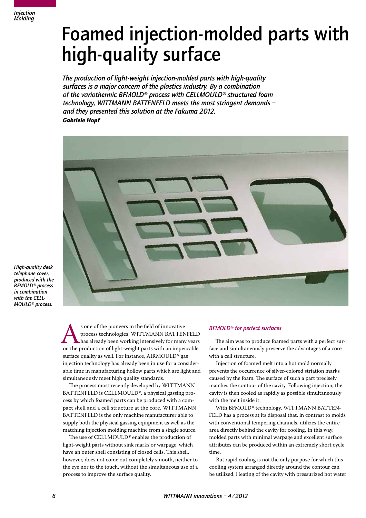### Foamed injection-molded parts with high-quality surface

*The production of light-weight injection-molded parts with high-quality surfaces is a major concern of the plastics industry. By a combination of the variothermic BFMOLD® process with CELLMOULD® structured foam technology, WITTMANN BATTENFELD meets the most stringent demands – and they presented this solution at the Fakuma 2012. Gabriele Hopf*



*High-quality desk telephone cover, produced with the BFMOLD® process in combination with the CELL-MOULD® process.*

> s one of the pioneers in the field of innovative<br>process technologies, WITTMANN BATTENFELI<br>on the production of light-weight parts with an impeccable<br> $\frac{1}{2}$ process technologies, WITTMANN BATTENFELD has already been working intensively for many years surface quality as well. For instance, AIRMOULD*®* gas injection technology has already been in use for a considerable time in manufacturing hollow parts which are light and simultaneously meet high quality standards.

The process most recently developed by WITTMANN BATTENFELD is CELLMOULD*®*, a physical gassing process by which foamed parts can be produced with a compact shell and a cell structure at the core. WITTMANN BATTENFELD is the only machine manufacturer able to supply both the physical gassing equipment as well as the matching injection molding machine from a single source.

The use of CELLMOULD*®* enables the production of light-weight parts without sink marks or warpage, which have an outer shell consisting of closed cells. This shell, however, does not come out completely smooth, neither to the eye nor to the touch, without the simultaneous use of a process to improve the surface quality.

#### *BFMOLD® for perfect surfaces*

The aim was to produce foamed parts with a perfect surface and simultaneously preserve the advantages of a core with a cell structure.

Injection of foamed melt into a hot mold normally prevents the occurrence of silver-colored striation marks caused by the foam. The surface of such a part precisely matches the contour of the cavity. Following injection, the cavity is then cooled as rapidly as possible simultaneously with the melt inside it.

With BFMOLD*®* technology, WITTMANN BATTEN-FELD has a process at its disposal that, in contrast to molds with conventional tempering channels, utilizes the entire area directly behind the cavity for cooling. In this way, molded parts with minimal warpage and excellent surface attributes can be produced within an extremely short cycle time.

But rapid cooling is not the only purpose for which this cooling system arranged directly around the contour can be utilized. Heating of the cavity with pressurized hot water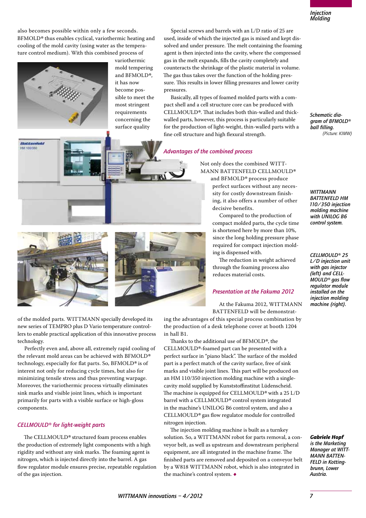also becomes possible within only a few seconds. BFMOLD*®* thus enables cyclical, variothermic heating and cooling of the mold cavity (using water as the temperature control medium). With this combined process of



**Bottanfeld HIM SOONING** 

variothermic mold tempering and BFMOLD*®*, it has now become possible to meet the most stringent requirements concerning the surface quality

Special screws and barrels with an L/D ratio of 25 are used, inside of which the injected gas is mixed and kept dissolved and under pressure. The melt containing the foaming agent is then injected into the cavity, where the compressed gas in the melt expands, fills the cavity completely and counteracts the shrinkage of the plastic material in volume. The gas thus takes over the function of the holding pressure. This results in lower filling pressures and lower cavity pressures.

Basically, all types of foamed molded parts with a compact shell and a cell structure core can be produced with CELLMOULD*®*. That includes both thin-walled and thickwalled parts, however, this process is particularly suitable for the production of light-weight, thin-walled parts with a fine cell structure and high flexural strength.

#### *Advantages of the combined process*

Not only does the combined WITT-MANN BATTENFELD CELLMOULD*®*

and BFMOLD*®* process produce perfect surfaces without any necessity for costly downstream finishing, it also offers a number of other decisive benefits.

Compared to the production of compact molded parts, the cycle time is shortened here by more than 10%, since the long holding pressure phase required for compact injection molding is dispensed with.

The reduction in weight achieved through the foaming process also reduces material costs.

#### *Presentation at the Fakuma 2012*

At the Fakuma 2012, WITTMANN BATTENFELD will be demonstrat-

ing the advantages of this special process combination by the production of a desk telephone cover at booth 1204

Thanks to the additional use of BFMOLD*®*, the CELLMOULD*®*-foamed part can be presented with a perfect surface in "piano black". The surface of the molded part is a perfect match of the cavity surface, free of sink marks and visible joint lines. This part will be produced on an HM 110/350 injection molding machine with a singlecavity mold supplied by Kunststoffinstitut Lüdenscheid. The machine is equipped for CELLMOULD*®* with a 25 L/D barrel with a CELLMOULD*®* control system integrated in the machine's UNILOG B6 control system, and also a CELLMOULD*®* gas flow regulator module for controlled nitrogen injection.

The injection molding machine is built as a turnkey solution. So, a WITTMANN robot for parts removal, a conveyor belt, as well as upstream and downstream peripheral equipment, are all integrated in the machine frame. The finished parts are removed and deposited on a conveyor belt by a W818 WITTMANN robot, which is also integrated in the machine's control system. ◆

*Schematic diagram of BFMOLD® ball filling. (Picture: KIMW)*

*WITTMANN BATTENFELD HM 110/350 injection molding machine with UNILOG B6 control system.*

#### *CELLMOULD® 25*

*L/D injection unit with gas injector (left) and CELL-MOULD® gas flow regulator module installed on the injection molding machine (right).*

of the molded parts. WITTMANN specially developed its new series of TEMPRO plus D Vario temperature controllers to enable practical application of this innovative process technology.

Perfectly even and, above all, extremely rapid cooling of the relevant mold areas can be achieved with BFMOLD*®* technology, especially for flat parts. So, BFMOLD*®* is of interest not only for reducing cycle times, but also for minimizing tensile stress and thus preventing warpage. Moreover, the variothermic process virtually eliminates sink marks and visible joint lines, which is important primarily for parts with a visible surface or high-gloss components.

#### *CELLMOULD® for light-weight parts*

The CELLMOULD*®* structured foam process enables the production of extremely light components with a high rigidity and without any sink marks. The foaming agent is nitrogen, which is injected directly into the barrel. A gas flow regulator module ensures precise, repeatable regulation of the gas injection.



*Gabriele Hopf is the Marketing Manager at WITT-MANN BATTEN-FELD in Kottingbrunn, Lower Austria.*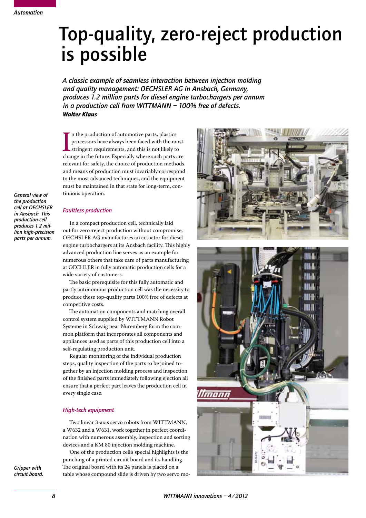### Top-quality, zero-reject production is possible

*A classic example of seamless interaction between injection molding and quality management: OECHSLER AG in Ansbach, Germany, produces 1.2 million parts for diesel engine turbochargers per annum in a production cell from WITTMANN – 100% free of defects. Walter Klaus*

In the production of automotive parts, plastics<br>processors have always been faced with the most<br>stringent requirements, and this is not likely to<br>change in the future. Especially where such parts are n the production of automotive parts, plastics processors have always been faced with the most stringent requirements, and this is not likely to relevant for safety, the choice of production methods and means of production must invariably correspond to the most advanced techniques, and the equipment must be maintained in that state for long-term, continuous operation.

*General view of the production cell at OECHSLER in Ansbach. This production cell produces 1.2 million high-precision parts per annum.*

#### *Faultless production*

In a compact production cell, technically laid out for zero-reject production without compromise, OECHSLER AG manufactures an actuator for diesel engine turbochargers at its Ansbach facility. This highly advanced production line serves as an example for numerous others that take care of parts manufacturing at OECHLER in fully automatic production cells for a wide variety of customers.

The basic prerequisite for this fully automatic and partly autonomous production cell was the necessity to produce these top-quality parts 100% free of defects at competitive costs.

The automation components and matching overall control system supplied by WITTMANN Robot Systeme in Schwaig near Nuremberg form the common platform that incorporates all components and appliances used as parts of this production cell into a self-regulating production unit.

Regular monitoring of the individual production steps, quality inspection of the parts to be joined together by an injection molding process and inspection of the finished parts immediately following ejection all ensure that a perfect part leaves the production cell in every single case.

#### *High-tech equipment*

Two linear 3-axis servo robots from WITTMANN, a W632 and a W631, work together in perfect coordination with numerous assembly, inspection and sorting devices and a KM 80 injection molding machine.

One of the production cell's special highlights is the punching of a printed circuit board and its handling. The original board with its 24 panels is placed on a table whose compound slide is driven by two servo mo-



*Gripper with circuit board.*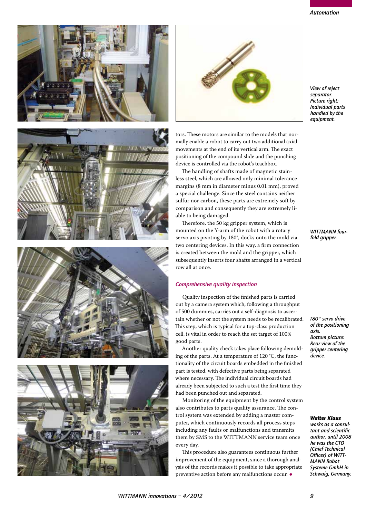*WITTMANN innovations – 4/2012 9*

every day.

#### *Automation*

*View of reject separator. Picture right: Individual parts handled by the equipment.*

*WITTMANN fourfold gripper.*

*180° servo drive of the positioning axis. Bottom picture: Rear view of the gripper centering device.*

#### *Walter Klaus*

*works as a consultant and scientific author, until 2008 he was the CTO (Chief Technical Officer) of WITT-MANN Robot Systeme GmbH in Schwaig, Germany.*







able to being damaged.

tors. These motors are similar to the models that normally enable a robot to carry out two additional axial movements at the end of its vertical arm. The exact positioning of the compound slide and the punching device is controlled via the robot's teachbox.

The handling of shafts made of magnetic stainless steel, which are allowed only minimal tolerance margins (8 mm in diameter minus 0.01 mm), proved a special challenge. Since the steel contains neither sulfur nor carbon, these parts are extremely soft by comparison and consequently they are extremely li-

Therefore, the 50 kg gripper system, which is mounted on the Y-arm of the robot with a rotary servo axis pivoting by 180°, docks onto the mold via

ing of the parts. At a temperature of 120 °C, the functionality of the circuit boards embedded in the finished part is tested, with defective parts being separated where necessary. The individual circuit boards had already been subjected to such a test the first time they

Monitoring of the equipment by the control system also contributes to parts quality assurance. The control system was extended by adding a master computer, which continuously records all process steps including any faults or malfunctions and transmits them by SMS to the WITTMANN service team once

This procedure also guarantees continuous further improvement of the equipment, since a thorough analysis of the records makes it possible to take appropriate preventive action before any malfunctions occur.  $\bullet$ 

had been punched out and separated.



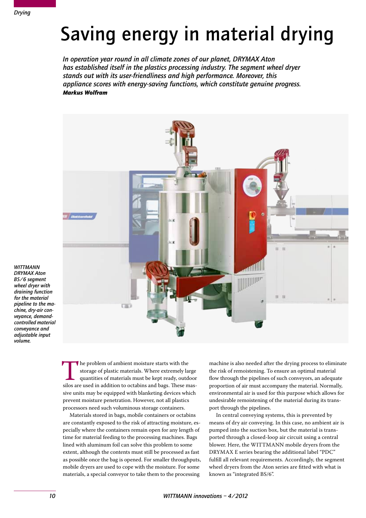## Saving energy in material drying

*In operation year round in all climate zones of our planet, DRYMAX Aton has established itself in the plastics processing industry. The segment wheel dryer stands out with its user-friendliness and high performance. Moreover, this appliance scores with energy-saving functions, which constitute genuine progress. Markus Wolfram*



*WITTMANN DRYMAX Aton BS/6 segment wheel dryer with draining function for the material pipeline to the machine, dry-air conveyance, demandcontrolled material conveyance and adjustable input volume.*

> The problem of ambient moisture starts with the storage of plastic materials. Where extremely large quantities of materials must be kept ready, outdoor silos are used in addition to octabins and bags. These masstorage of plastic materials. Where extremely large quantities of materials must be kept ready, outdoor sive units may be equipped with blanketing devices which prevent moisture penetration. However, not all plastics processors need such voluminous storage containers.

Materials stored in bags, mobile containers or octabins are constantly exposed to the risk of attracting moisture, especially where the containers remain open for any length of time for material feeding to the processing machines. Bags lined with aluminum foil can solve this problem to some extent, although the contents must still be processed as fast as possible once the bag is opened. For smaller throughputs, mobile dryers are used to cope with the moisture. For some materials, a special conveyor to take them to the processing

machine is also needed after the drying process to eliminate the risk of remoistening. To ensure an optimal material flow through the pipelines of such conveyors, an adequate proportion of air must accompany the material. Normally, environmental air is used for this purpose which allows for undesirable remoistening of the material during its transport through the pipelines.

In central conveying systems, this is prevented by means of dry air conveying. In this case, no ambient air is pumped into the suction box, but the material is transported through a closed-loop air circuit using a central blower. Here, the WITTMANN mobile dryers from the DRYMAX E series bearing the additional label "PDC" fulfill all relevant requirements. Accordingly, the segment wheel dryers from the Aton series are fitted with what is known as "integrated BS/6".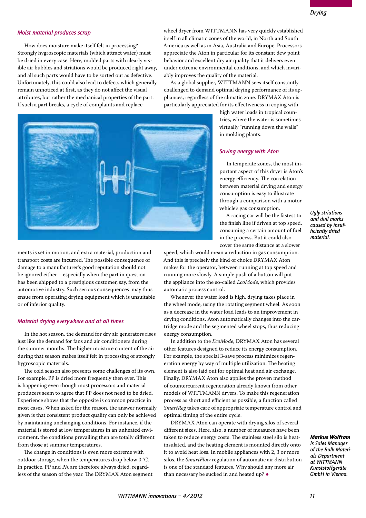#### *Moist material produces scrap*

How does moisture make itself felt in processing? Strongly hygroscopic materials (which attract water) must be dried in every case. Here, molded parts with clearly visible air bubbles and striations would be produced right away, and all such parts would have to be sorted out as defective. Unfortunately, this could also lead to defects which generally remain unnoticed at first, as they do not affect the visual attributes, but rather the mechanical properties of the part. If such a part breaks, a cycle of complaints and replace-

ments is set in motion, and extra material, production and transport costs are incurred. The possible consequence of damage to a manufacturer's good reputation should not be ignored either – especially when the part in question has been shipped to a prestigious customer, say, from the automotive industry. Such serious consequences may thus ensue from operating drying equipment which is unsuitable or of inferior quality.

#### *Material drying everywhere and at all times*

In the hot season, the demand for dry air generators rises just like the demand for fans and air conditioners during the summer months. The higher moisture content of the air during that season makes itself felt in processing of strongly hygroscopic materials.

The cold season also presents some challenges of its own. For example, PP is dried more frequently then ever. This is happening even though most processors and material producers seem to agree that PP does not need to be dried. Experience shows that the opposite is common practice in most cases. When asked for the reason, the answer normally given is that consistent product quality can only be achieved by maintaining unchanging conditions. For instance, if the material is stored at low temperatures in an unheated environment, the conditions prevailing then are totally different from those at summer temperatures.

The change in conditions is even more extreme with outdoor storage, when the temperatures drop below 0 °C. In practice, PP and PA are therefore always dried, regardless of the season of the year. The DRYMAX Aton segment wheel dryer from WITTMANN has very quickly established itself in all climatic zones of the world, in North and South America as well as in Asia, Australia and Europe. Processors appreciate the Aton in particular for its constant dew point behavior and excellent dry air quality that it delivers even under extreme environmental conditions, and which invariably improves the quality of the material.

As a global supplier, WITTMANN sees itself constantly challenged to demand optimal drying performance of its appliances, regardless of the climatic zone. DRYMAX Aton is particularly appreciated for its effectiveness in coping with

> high water loads in tropical countries, where the water is sometimes virtually "running down the walls" in molding plants.

#### *Saving energy with Aton*

In temperate zones, the most important aspect of this dryer is Aton's energy efficiency. The correlation between material drying and energy consumption is easy to illustrate through a comparison with a motor vehicle's gas consumption.

A racing car will be the fastest to the finish line if driven at top speed, consuming a certain amount of fuel in the process. But it could also cover the same distance at a slower

*Ugly striations and dull marks caused by insufficiently dried material.*

speed, which would mean a reduction in gas consumption. And this is precisely the kind of choice DRYMAX Aton makes for the operator, between running at top speed and running more slowly. A simple push of a button will put the appliance into the so-called *EcoMode*, which provides automatic process control.

Whenever the water load is high, drying takes place in the wheel mode, using the rotating segment wheel. As soon as a decrease in the water load leads to an improvement in drying conditions, Aton automatically changes into the cartridge mode and the segmented wheel stops, thus reducing energy consumption.

In addition to the *EcoMode*, DRYMAX Aton has several other features designed to reduce its energy consumption. For example, the special 3-save process minimizes regeneration energy by way of multiple utilization. The heating element is also laid out for optimal heat and air exchange. Finally, DRYMAX Aton also applies the proven method of countercurrent regeneration already known from other models of WITTMANN dryers. To make this regeneration process as short and efficient as possible, a function called *SmartReg* takes care of appropriate temperature control and optimal timing of the entire cycle.

DRYMAX Aton can operate with drying silos of several different sizes. Here, also, a number of measures have been taken to reduce energy costs. The stainless steel silo is heatinsulated, and the heating element is mounted directly onto it to avoid heat loss. In mobile appliances with 2, 3 or more silos, the *SmartFlow* regulation of automatic air distribution is one of the standard features. Why should any more air than necessary be sucked in and heated up?  $\bullet$ 

*Markus Wolfram is Sales Manager of the Bulk Materials Department at WITTMANN Kunststoffgeräte* 

*GmbH in Vienna.*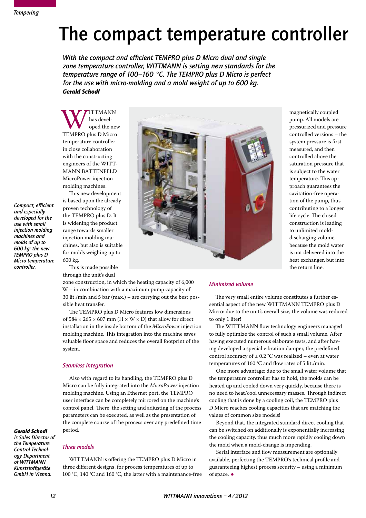*Compact, efficient and especially developed for the use with small injection molding machines and molds of up to 600 kg: the new TEMPRO plus D Micro temperature controller.*

### The compact temperature controller

*With the compact and efficient TEMPRO plus D Micro dual and single zone temperature controller, WITTMANN is setting new standards for the temperature range of 100–160 °C. The TEMPRO plus D Micro is perfect for the use with micro-molding and a mold weight of up to 600 kg. Gerald Schodl*

WE has devel-<br>TEMPRO plus D Micro has developed the new temperature controller in close collaboration with the constructing engineers of the WITT-MANN BATTENFELD MicroPower injection molding machines.

This new development is based upon the already proven technology of the TEMPRO plus D. It is widening the product range towards smaller injection molding machines, but also is suitable for molds weighing up to 600 kg.

This is made possible through the unit's dual



magnetically coupled pump. All models are pressurized and pressure controlled versions – the system pressure is first measured, and then controlled above the saturation pressure that is subject to the water temperature. This approach guarantees the cavitation-free operation of the pump, thus contributing to a longer life cycle. The closed construction is leading to unlimited molddischarging volume, because the mold water is not delivered into the heat exchanger, but into the return line.

zone construction, in which the heating capacity of 6,000 W – in combination with a maximum pump capacity of 30 lit./min and 5 bar (max.) – are carrying out the best possible heat transfer.

The TEMPRO plus D Micro features low dimensions of  $584 \times 265 \times 607$  mm (H  $\times$  W  $\times$  D) that allow for direct installation in the inside bottom of the *MicroPower* injection molding machine. This integration into the machine saves valuable floor space and reduces the overall footprint of the system.

#### *Seamless integration*

Also with regard to its handling, the TEMPRO plus D Micro can be fully integrated into the *MicroPower* injection molding machine. Using an Ethernet port, the TEMPRO user interface can be completely mirrored on the machine's control panel. There, the setting and adjusting of the process parameters can be executed, as well as the presentation of the complete course of the process over any predefined time period.

#### *Gerald Schodl is Sales Director of the Temperature Control Technology Department of WITTMANN Kunststoffgeräte GmbH in Vienna.*

#### *Three models*

WITTMANN is offering the TEMPRO plus D Micro in three different designs, for process temperatures of up to 100 °C, 140 °C and 160 °C, the latter with a maintenance-free

#### *Minimized volume*

The very small entire volume constitutes a further essential aspect of the new WITTMANN TEMPRO plus D Micro: due to the unit's overall size, the volume was reduced to only 1 liter!

The WITTMANN flow technology engineers managed to fully optimize the control of such a small volume. After having executed numerous elaborate tests, and after having developed a special vibration damper, the predefined control accuracy of  $\pm$  0.2 °C was realized – even at water temperatures of 160 °C and flow rates of 5 lit./min.

One more advantage: due to the small water volume that the temperature controller has to hold, the molds can be heated up and cooled down very quickly, because there is no need to heat/cool unnecessary masses. Through indirect cooling that is done by a cooling coil, the TEMPRO plus D Micro reaches cooling capacities that are matching the values of common size models!

Beyond that, the integrated standard direct cooling that can be switched on additionally is exponentially increasing the cooling capacity, thus much more rapidly cooling down the mold when a mold-change is impending.

Serial interface and flow measurement are optionally available, perfecting the TEMPRO's technical profile and guaranteeing highest process security – using a minimum of space. ◆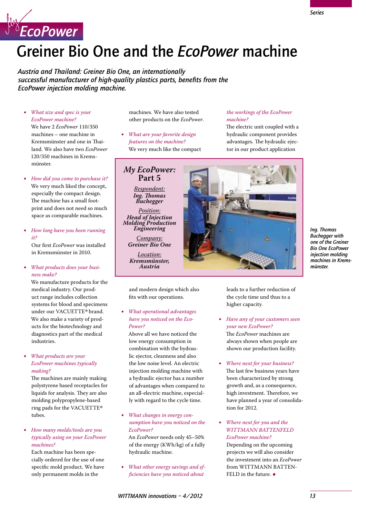

### Greiner Bio One and the *EcoPower* machine

*Austria and Thailand: Greiner Bio One, an internationally successful manufacturer of high-quality plastics parts, benefits from the EcoPower injection molding machine.*

• *What size and spec is your EcoPower machine?*

We have 2 *EcoPower* 110/350 machines – one machine in Kremsmünster and one in Thailand. We also have two *EcoPower* 120/350 machines in Kremsmünster.

- *How did you come to purchase it?* We very much liked the concept, especially the compact design. The machine has a small footprint and does not need so much space as comparable machines.
- *How long have you been running it?*

Our first *EcoPower* was installed in Kremsmünster in 2010.

What products does your busi*ness make?*

We manufacture products for the medical industry. Our product range includes collection systems for blood and specimens under our VACUETTE*®* brand. We also make a variety of products for the biotechnology and diagnostics part of the medical industries.

• *What products are your EcoPower machines typically making?*

The machines are mainly making polystyrene based receptacles for liquids for analysis. They are also molding polypropylene-based ring pads for the VACUETTE*®* tubes.

• *How many molds/tools are you typically using on your EcoPower machines?*

Each machine has been specially ordered for the use of one specific mold product. We have only permanent molds in the

machines. We have also tested other products on the *EcoPower*.

• *What are your favorite design features on the machine?* We very much like the compact

> **Part 5** *Respondent: Ing. Thomas Buchegger Position:*

*Engineering Company:*

*Location: Kremsmünster, Austria*

#### *the workings of the EcoPower machine?*

The electric unit coupled with a hydraulic component provides advantages. The hydraulic ejector in our product application



*Ing. Thomas Buchegger with one of the Greiner Bio One EcoPower injection molding machines in Kremsmünster.*

and modern design which also fits with our operations.

• *What operational advantages have you noticed on the Eco-Power?*

Above all we have noticed the low energy consumption in combination with the hydraulic ejector, cleanness and also the low noise level. An electric injection molding machine with a hydraulic ejector has a number of advantages when compared to an all-electric machine, especially with regard to the cycle time.

*What changes in energy consumption have you noticed on the EcoPower?*

An *EcoPower* needs only 45–50% of the energy (KWh/kg) of a fully hydraulic machine.

*What other energy savings and efficiencies have you noticed about* 

leads to a further reduction of the cycle time und thus to a higher capacity.

*Have any of your customers seen your new EcoPower?* The *EcoPower* machines are

always shown when people are shown our production facility.

- • *Where next for your business?* The last few business years have been characterized by strong growth and, as a consequence, high investment. Therefore, we have planned a year of consolidation for 2012.
- • *Where next for you and the WITTMANN BATTENFELD EcoPower machine?*

Depending on the upcoming projects we will also consider the investment into an *EcoPower* from WITTMANN BATTEN-FELD in the future.  $\bullet$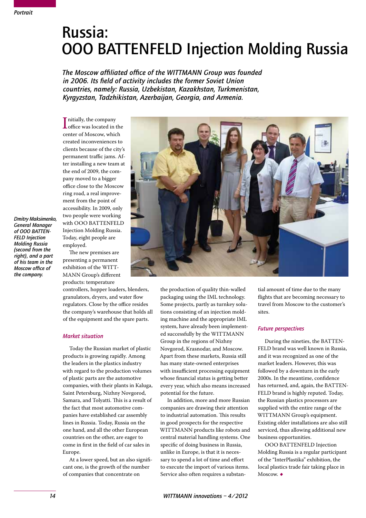*Dmitry Maksimenko, General Manager of OOO BATTEN-FELD Injection Molding Russia (second from the right), and a part of his team in the Moscow office of the company.*

### Russia: OOO BATTENFELD Injection Molding Russia

*The Moscow affiliated office of the WITTMANN Group was founded in 2006. Its field of activity includes the former Soviet Union countries, namely: Russia, Uzbekistan, Kazakhstan, Turkmenistan, Kyrgyzstan, Tadzhikistan, Azerbaijan, Georgia, and Armenia.*

I nitially, the company<br>
office was located in the<br>
center of Moscow, which nitially, the company center of Moscow, which created inconveniences to clients because of the city's permanent traffic jams. After installing a new team at the end of 2009, the company moved to a bigger office close to the Moscow ring road, a real improvement from the point of accessibility. In 2009, only two people were working with OOO BATTENFELD Injection Molding Russia. Today, eight people are employed.

The new premises are presenting a permanent exhibition of the WITT-MANN Group's different products: temperature

controllers, hopper loaders, blenders, granulators, dryers, and water flow regulators. Close by the office resides the company's warehouse that holds all of the equipment and the spare parts.

#### *Market situation*

Today the Russian market of plastic products is growing rapidly. Among the leaders in the plastics industry with regard to the production volumes of plastic parts are the automotive companies, with their plants in Kaluga, Saint Petersburg, Nizhny Novgorod, Samara, and Tolyatti. This is a result of the fact that most automotive companies have established car assembly lines in Russia. Today, Russia on the one hand, and all the other European countries on the other, are eager to come in first in the field of car sales in Europe.

At a lower speed, but an also significant one, is the growth of the number of companies that concentrate on



the production of quality thin-walled packaging using the IML technology. Some projects, partly as turnkey solutions consisting of an injection molding machine and the appropriate IML system, have already been implemented successfully by the WITTMANN Group in the regions of Nizhny Novgorod, Krasnodar, and Moscow. Apart from these markets, Russia still has many state-owned enterprises with insufficient processing equipment whose financial status is getting better every year, which also means increased potential for the future.

In addition, more and more Russian companies are drawing their attention to industrial automation. This results in good prospects for the respective WITTMANN products like robots and central material handling systems. One specific of doing business in Russia, unlike in Europe, is that it is necessary to spend a lot of time and effort to execute the import of various items. Service also often requires a substantial amount of time due to the many flights that are becoming necessary to travel from Moscow to the customer's sites.

#### *Future perspectives*

During the nineties, the BATTEN-FELD brand was well known in Russia, and it was recognized as one of the market leaders. However, this was followed by a downturn in the early 2000s. In the meantime, confidence has returned, and, again, the BATTEN-FELD brand is highly reputed. Today, the Russian plastics processors are supplied with the entire range of the WITTMANN Group's equipment. Existing older installations are also still serviced, thus allowing additional new business opportunities.

OOO BATTENFELD Injection Molding Russia is a regular participant of the "InterPlastika" exhibition, the local plastics trade fair taking place in Moscow.  $\bullet$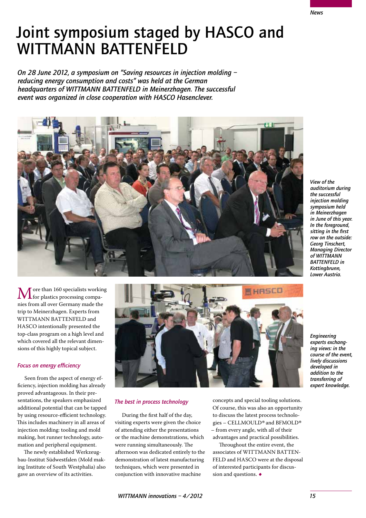techniques, which were presented in conjunction with innovative machine

or the machine demonstrations, which were running simultaneously. The afternoon was dedicated entirely to the demonstration of latest manufacturing

to discuss the latest process technologies – CELLMOULD*®* and BFMOLD*®* – from every angle, with all of their advantages and practical possibilities.

**EHRSCO** 

Throughout the entire event, the associates of WITTMANN BATTEN-FELD and HASCO were at the disposal of interested participants for discussion and questions.  $\bullet$ 

*WITTMANN innovations – 4/2012 15*

*The best in process technology*

*auditorium during the successful injection molding symposium held in Meinerzhagen in June of this year. In the foreground, sitting in the first row on the outside: Georg Tinschert, Managing Director of WITTMANN BATTENFELD in Kottingbrunn, Lower Austria.*

*View of the* 

Joint symposium staged by HASCO and WITTMANN BATTENFELD

*On 28 June 2012, a symposium on "Saving resources in injection molding – reducing energy consumption and costs" was held at the German headquarters of WITTMANN BATTENFELD in Meinerzhagen. The successful event was organized in close cooperation with HASCO Hasenclever.*



#### More than 160 specialists working<br>for plastics processing compa-<br>pies from all over Germany mode the nies from all over Germany made the trip to Meinerzhagen. Experts from WITTMANN BATTENFELD and HASCO intentionally presented the top-class program on a high level and which covered all the relevant dimensions of this highly topical subject.

#### *Focus on energy efficiency*

Seen from the aspect of energy efficiency, injection molding has already proved advantageous. In their presentations, the speakers emphasized additional potential that can be tapped by using resource-efficient technology. This includes machinery in all areas of injection molding: tooling and mold making, hot runner technology, automation and peripheral equipment.

The newly established Werkzeugbau-Institut Südwestfalen (Mold making Institute of South Westphalia) also gave an overview of its activities.





*Engineering experts exchanging views: in the course of the event, lively discussions* 

*developed in addition to the transferring of expert knowledge.*